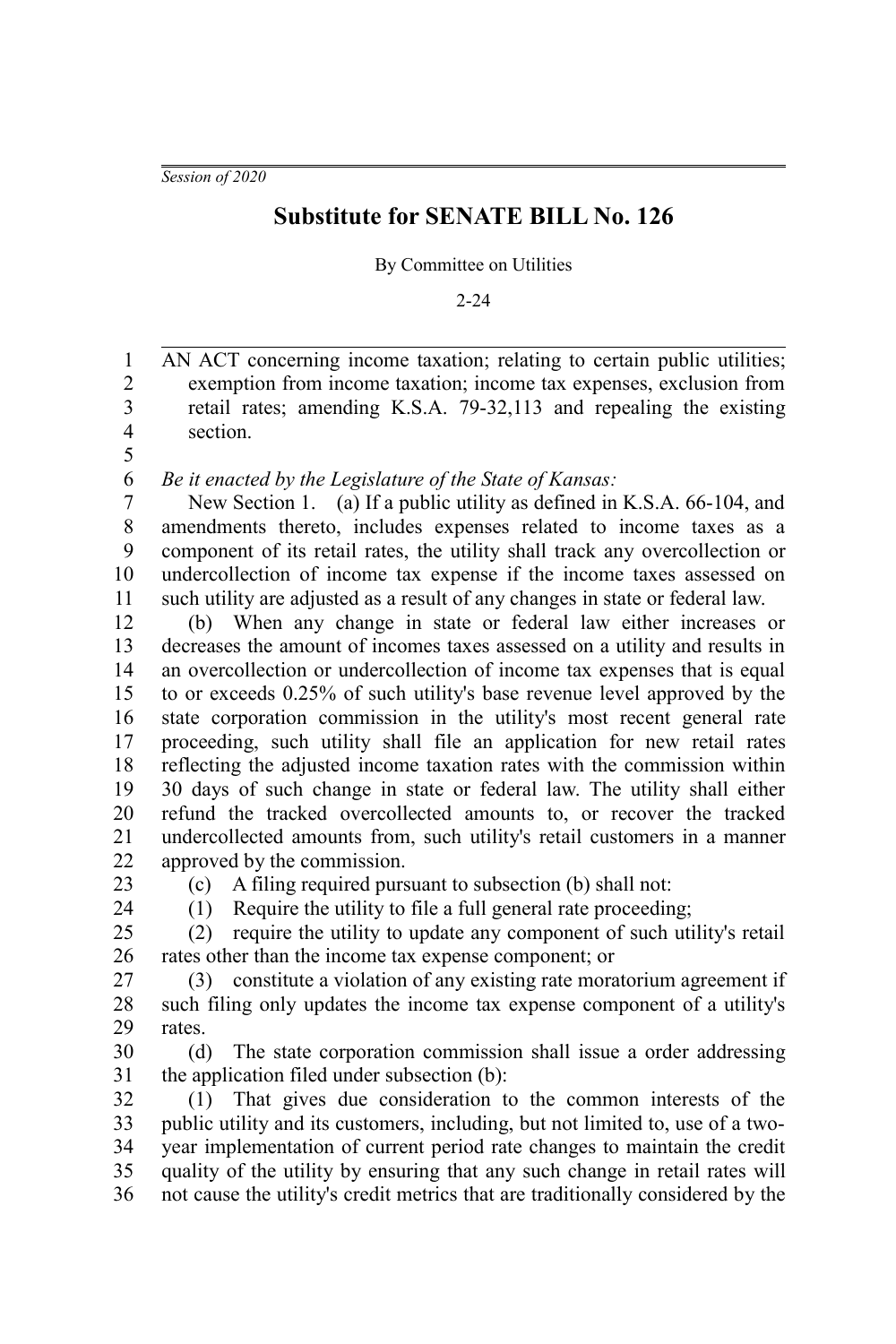*Session of 2020*

## **Substitute for SENATE BILL No. 126**

By Committee on Utilities

2-24

AN ACT concerning income taxation; relating to certain public utilities; exemption from income taxation; income tax expenses, exclusion from retail rates; amending K.S.A. 79-32,113 and repealing the existing section. 1 2 3 4 5

*Be it enacted by the Legislature of the State of Kansas:* 6

New Section 1. (a) If a public utility as defined in K.S.A. 66-104, and amendments thereto, includes expenses related to income taxes as a component of its retail rates, the utility shall track any overcollection or undercollection of income tax expense if the income taxes assessed on such utility are adjusted as a result of any changes in state or federal law. 7 8 9 10 11

(b) When any change in state or federal law either increases or decreases the amount of incomes taxes assessed on a utility and results in an overcollection or undercollection of income tax expenses that is equal to or exceeds 0.25% of such utility's base revenue level approved by the state corporation commission in the utility's most recent general rate proceeding, such utility shall file an application for new retail rates reflecting the adjusted income taxation rates with the commission within 30 days of such change in state or federal law. The utility shall either refund the tracked overcollected amounts to, or recover the tracked undercollected amounts from, such utility's retail customers in a manner approved by the commission. 12 13 14 15 16 17 18 19 20 21 22

23

(c) A filing required pursuant to subsection (b) shall not:

(1) Require the utility to file a full general rate proceeding;

 $24$ 

(2) require the utility to update any component of such utility's retail rates other than the income tax expense component; or 25 26

(3) constitute a violation of any existing rate moratorium agreement if such filing only updates the income tax expense component of a utility's rates. 27 28 29

(d) The state corporation commission shall issue a order addressing the application filed under subsection (b): 30 31

(1) That gives due consideration to the common interests of the public utility and its customers, including, but not limited to, use of a twoyear implementation of current period rate changes to maintain the credit quality of the utility by ensuring that any such change in retail rates will not cause the utility's credit metrics that are traditionally considered by the 32 33 34 35 36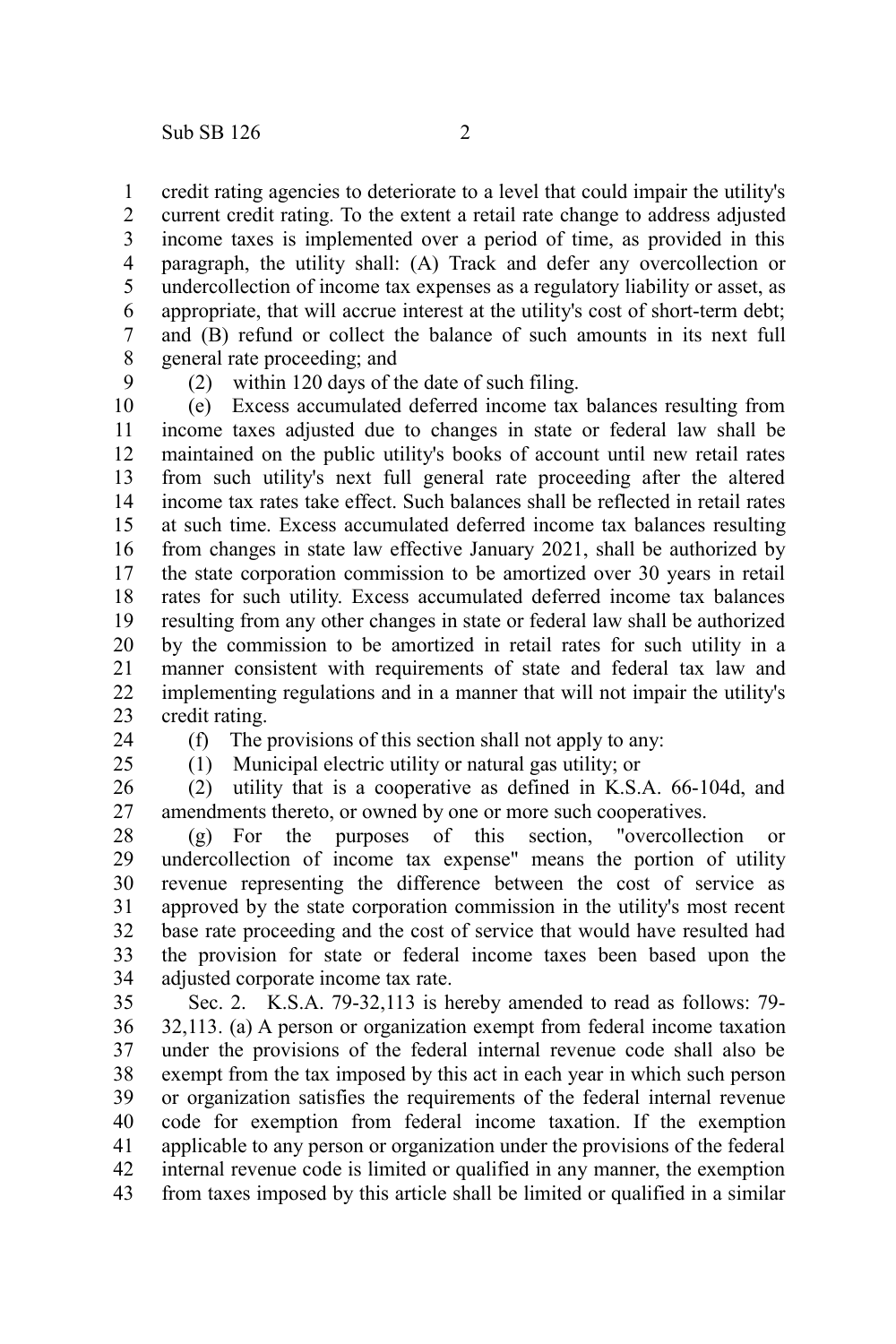credit rating agencies to deteriorate to a level that could impair the utility's 1

current credit rating. To the extent a retail rate change to address adjusted income taxes is implemented over a period of time, as provided in this paragraph, the utility shall: (A) Track and defer any overcollection or undercollection of income tax expenses as a regulatory liability or asset, as appropriate, that will accrue interest at the utility's cost of short-term debt; and (B) refund or collect the balance of such amounts in its next full general rate proceeding; and 2 3 4 5 6 7 8

9

(2) within 120 days of the date of such filing.

(e) Excess accumulated deferred income tax balances resulting from income taxes adjusted due to changes in state or federal law shall be maintained on the public utility's books of account until new retail rates from such utility's next full general rate proceeding after the altered income tax rates take effect. Such balances shall be reflected in retail rates at such time. Excess accumulated deferred income tax balances resulting from changes in state law effective January 2021, shall be authorized by the state corporation commission to be amortized over 30 years in retail rates for such utility. Excess accumulated deferred income tax balances resulting from any other changes in state or federal law shall be authorized by the commission to be amortized in retail rates for such utility in a manner consistent with requirements of state and federal tax law and implementing regulations and in a manner that will not impair the utility's credit rating. 10 11 12 13 14 15 16 17 18 19 20 21 22 23

24  $25$  (f) The provisions of this section shall not apply to any:

(1) Municipal electric utility or natural gas utility; or

(2) utility that is a cooperative as defined in K.S.A. 66-104d, and amendments thereto, or owned by one or more such cooperatives. 26 27

(g) For the purposes of this section, "overcollection or undercollection of income tax expense" means the portion of utility revenue representing the difference between the cost of service as approved by the state corporation commission in the utility's most recent base rate proceeding and the cost of service that would have resulted had the provision for state or federal income taxes been based upon the adjusted corporate income tax rate. 28 29 30 31 32 33 34

Sec. 2. K.S.A. 79-32,113 is hereby amended to read as follows: 79- 32,113. (a) A person or organization exempt from federal income taxation under the provisions of the federal internal revenue code shall also be exempt from the tax imposed by this act in each year in which such person or organization satisfies the requirements of the federal internal revenue code for exemption from federal income taxation. If the exemption applicable to any person or organization under the provisions of the federal internal revenue code is limited or qualified in any manner, the exemption from taxes imposed by this article shall be limited or qualified in a similar 35 36 37 38 39 40 41 42 43